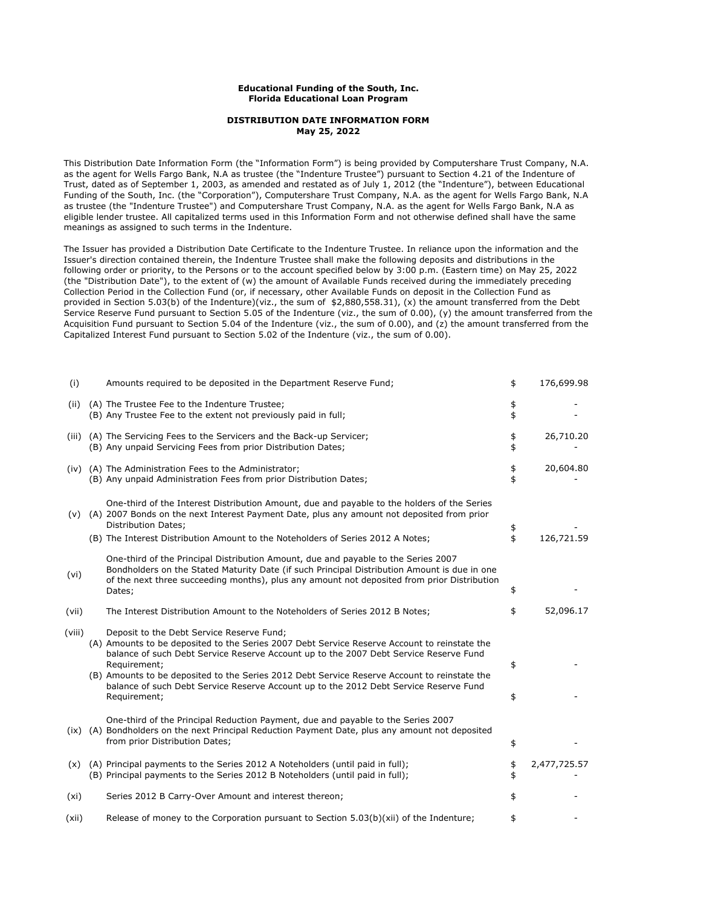## **Educational Funding of the South, Inc. Florida Educational Loan Program**

## **DISTRIBUTION DATE INFORMATION FORM May 25, 2022**

This Distribution Date Information Form (the "Information Form") is being provided by Computershare Trust Company, N.A. as the agent for Wells Fargo Bank, N.A as trustee (the "Indenture Trustee") pursuant to Section 4.21 of the Indenture of Trust, dated as of September 1, 2003, as amended and restated as of July 1, 2012 (the "Indenture"), between Educational Funding of the South, Inc. (the "Corporation"), Computershare Trust Company, N.A. as the agent for Wells Fargo Bank, N.A as trustee (the "Indenture Trustee") and Computershare Trust Company, N.A. as the agent for Wells Fargo Bank, N.A as eligible lender trustee. All capitalized terms used in this Information Form and not otherwise defined shall have the same meanings as assigned to such terms in the Indenture.

The Issuer has provided a Distribution Date Certificate to the Indenture Trustee. In reliance upon the information and the Issuer's direction contained therein, the Indenture Trustee shall make the following deposits and distributions in the following order or priority, to the Persons or to the account specified below by 3:00 p.m. (Eastern time) on May 25, 2022 (the "Distribution Date"), to the extent of (w) the amount of Available Funds received during the immediately preceding Collection Period in the Collection Fund (or, if necessary, other Available Funds on deposit in the Collection Fund as provided in Section 5.03(b) of the Indenture)(viz., the sum of \$2,880,558.31), (x) the amount transferred from the Debt Service Reserve Fund pursuant to Section 5.05 of the Indenture (viz., the sum of 0.00), (y) the amount transferred from the Acquisition Fund pursuant to Section 5.04 of the Indenture (viz., the sum of 0.00), and (z) the amount transferred from the Capitalized Interest Fund pursuant to Section 5.02 of the Indenture (viz., the sum of 0.00).

| (i)    | Amounts required to be deposited in the Department Reserve Fund;                                                                                                                                                                                                                                                                                                                                                                                            | \$       | 176,699.98   |
|--------|-------------------------------------------------------------------------------------------------------------------------------------------------------------------------------------------------------------------------------------------------------------------------------------------------------------------------------------------------------------------------------------------------------------------------------------------------------------|----------|--------------|
| (ii)   | (A) The Trustee Fee to the Indenture Trustee;<br>(B) Any Trustee Fee to the extent not previously paid in full;                                                                                                                                                                                                                                                                                                                                             | \$<br>\$ |              |
|        | (iii) (A) The Servicing Fees to the Servicers and the Back-up Servicer;<br>(B) Any unpaid Servicing Fees from prior Distribution Dates;                                                                                                                                                                                                                                                                                                                     | \$<br>\$ | 26,710.20    |
|        | (iv) (A) The Administration Fees to the Administrator;<br>(B) Any unpaid Administration Fees from prior Distribution Dates;                                                                                                                                                                                                                                                                                                                                 | \$<br>\$ | 20,604.80    |
| (v)    | One-third of the Interest Distribution Amount, due and payable to the holders of the Series<br>(A) 2007 Bonds on the next Interest Payment Date, plus any amount not deposited from prior<br><b>Distribution Dates;</b><br>(B) The Interest Distribution Amount to the Noteholders of Series 2012 A Notes;                                                                                                                                                  | \$<br>\$ | 126,721.59   |
| (vi)   | One-third of the Principal Distribution Amount, due and payable to the Series 2007<br>Bondholders on the Stated Maturity Date (if such Principal Distribution Amount is due in one<br>of the next three succeeding months), plus any amount not deposited from prior Distribution<br>Dates;                                                                                                                                                                 | \$       |              |
| (vii)  | The Interest Distribution Amount to the Noteholders of Series 2012 B Notes;                                                                                                                                                                                                                                                                                                                                                                                 | \$       | 52,096.17    |
| (viii) | Deposit to the Debt Service Reserve Fund;<br>(A) Amounts to be deposited to the Series 2007 Debt Service Reserve Account to reinstate the<br>balance of such Debt Service Reserve Account up to the 2007 Debt Service Reserve Fund<br>Requirement;<br>(B) Amounts to be deposited to the Series 2012 Debt Service Reserve Account to reinstate the<br>balance of such Debt Service Reserve Account up to the 2012 Debt Service Reserve Fund<br>Requirement; | \$<br>\$ |              |
| (ix)   | One-third of the Principal Reduction Payment, due and payable to the Series 2007<br>(A) Bondholders on the next Principal Reduction Payment Date, plus any amount not deposited<br>from prior Distribution Dates;                                                                                                                                                                                                                                           | \$       |              |
| (x)    | (A) Principal payments to the Series 2012 A Noteholders (until paid in full);<br>(B) Principal payments to the Series 2012 B Noteholders (until paid in full);                                                                                                                                                                                                                                                                                              | \$<br>\$ | 2,477,725.57 |
| (xi)   | Series 2012 B Carry-Over Amount and interest thereon;                                                                                                                                                                                                                                                                                                                                                                                                       | \$       |              |
| (xii)  | Release of money to the Corporation pursuant to Section 5.03(b)(xii) of the Indenture;                                                                                                                                                                                                                                                                                                                                                                      |          |              |